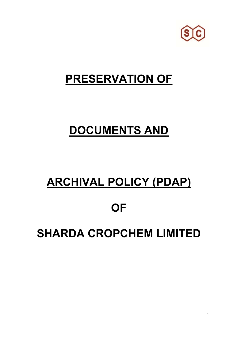

## **PRESERVATION OF**

# **DOCUMENTS AND**

# **ARCHIVAL POLICY (PDAP)**

### **OF**

## **SHARDA CROPCHEM LIMITED**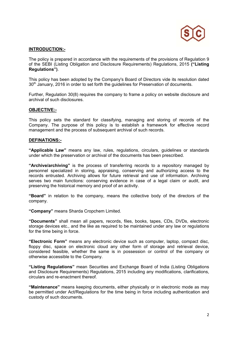

#### **INTRODUCTION:-**

The policy is prepared in accordance with the requirements of the provisions of Regulation 9 of the SEBI (Listing Obligation and Disclosure Requirements) Regulations, 2015 **("Listing Regulations")**.

This policy has been adopted by the Company's Board of Directors vide its resolution dated 30<sup>th</sup> January, 2016 in order to set forth the guidelines for Preservation of documents.

Further, Regulation 30(8) requires the company to frame a policy on website disclosure and archival of such disclosures.

#### **OBJECTIVE:-**

This policy sets the standard for classifying, managing and storing of records of the Company. The purpose of this policy is to establish a framework for effective record management and the process of subsequent archival of such records.

#### **DEFINATIONS:-**

**"Applicable Law"** means any law, rules, regulations, circulars, guidelines or standards under which the preservation or archival of the documents has been prescribed.

**"Archive/archiving"** is the process of transferring records to a repository managed by personnel specialized in storing, appraising, conserving and authorizing access to the records entrusted. Archiving allows for future retrieval and use of information. Archiving serves two main functions: conserving evidence in case of a legal claim or audit, and preserving the historical memory and proof of an activity.

**"Board"** in relation to the company, means the collective body of the directors of the company.

**"Company"** means Sharda Cropchem Limited.

**"Documents"** shall mean all papers, records, files, books, tapes, CDs, DVDs, electronic storage devices etc., and the like as required to be maintained under any law or regulations for the time being in force.

**"Electronic Form"** means any electronic device such as computer, laptop, compact disc, floppy disc, space on electronic cloud any other form of storage and retrieval device, considered feasible, whether the same is in possession or control of the company or otherwise accessible to the Company.

**"Listing Regulations"** mean Securities and Exchange Board of India (Listing Obligations and Disclosure Requirements) Regulations, 2015 including any modifications, clarifications, circulars and re-enactment thereof.

**"Maintenance"** means keeping documents, either physically or in electronic mode as may be permitted under Act/Regulations for the time being in force including authentication and custody of such documents.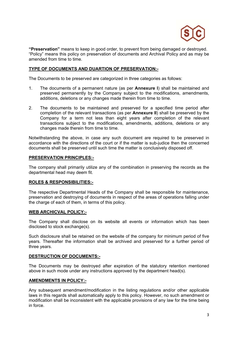

**"Preservation"** means to keep in good order, to prevent from being damaged or destroyed. "Policy" means this policy on preservation of documents and Archival Policy and as may be amended from time to time.

#### **TYPE OF DOCUMENTS AND DUARTION OF PRESERVATION:-**

The Documents to be preserved are categorized in three categories as follows:

- 1. The documents of a permanent nature (as per **Annexure I**) shall be maintained and preserved permanently by the Company subject to the modifications, amendments, additions, deletions or any changes made therein from time to time.
- 2. The documents to be maintained and preserved for a specified time period after completion of the relevant transactions (as per **Annexure II**) shall be preserved by the Company for a term not less than eight years after completion of the relevant transactions subject to the modifications, amendments, additions, deletions or any changes made therein from time to time.

Notwithstanding the above, in case any such document are required to be preserved in accordance with the directions of the court or if the matter is sub-judice then the concerned documents shall be preserved until such time the matter is conclusively disposed off.

#### **PRESERVATION PRINCIPLES:-**

The company shall primarily utilize any of the combination in preserving the records as the departmental head may deem fit.

#### **ROLES & RESPONSIBILITIES:-**

The respective Departmental Heads of the Company shall be responsible for maintenance, preservation and destroying of documents in respect of the areas of operations falling under the charge of each of them, in terms of this policy.

#### **WEB ARCHICVAL POLICY:-**

The Company shall disclose on its website all events or information which has been disclosed to stock exchange(s).

Such disclosure shall be retained on the website of the company for minimum period of five years. Thereafter the information shall be archived and preserved for a further period of three years.

#### **DESTRUCTION OF DOCUMENTS:-**

The Documents may be destroyed after expiration of the statutory retention mentioned above in such mode under any instructions approved by the department head(s).

#### **AMENDMENTS IN POLICY:-**

Any subsequent amendment/modification in the listing regulations and/or other applicable laws in this regards shall automatically apply to this policy. However, no such amendment or modification shall be inconsistent with the applicable provisions of any law for the time being in force.